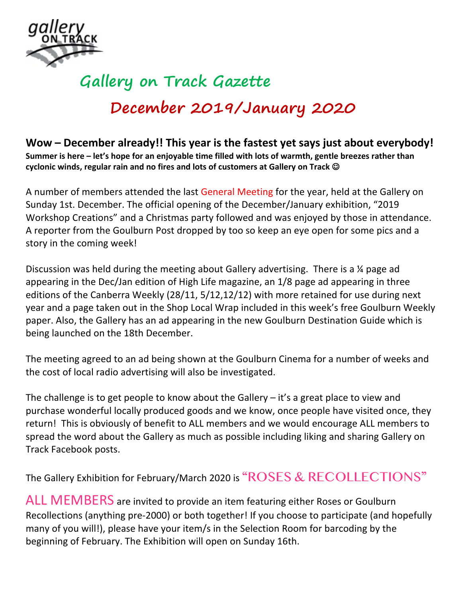

## **Gallery on Track Gazette December 2019/January 2020**

**Wow – December already!! This year is the fastest yet says just about everybody! Summer is here – let's hope for an enjoyable time filled with lots of warmth, gentle breezes rather than cyclonic winds, regular rain and no fires and lots of customers at Gallery on Track** J

A number of members attended the last General Meeting for the year, held at the Gallery on Sunday 1st. December. The official opening of the December/January exhibition, "2019 Workshop Creations" and a Christmas party followed and was enjoyed by those in attendance. A reporter from the Goulburn Post dropped by too so keep an eye open for some pics and a story in the coming week!

Discussion was held during the meeting about Gallery advertising. There is a ¼ page ad appearing in the Dec/Jan edition of High Life magazine, an 1/8 page ad appearing in three editions of the Canberra Weekly (28/11, 5/12,12/12) with more retained for use during next year and a page taken out in the Shop Local Wrap included in this week's free Goulburn Weekly paper. Also, the Gallery has an ad appearing in the new Goulburn Destination Guide which is being launched on the 18th December.

The meeting agreed to an ad being shown at the Goulburn Cinema for a number of weeks and the cost of local radio advertising will also be investigated.

The challenge is to get people to know about the Gallery  $-$  it's a great place to view and purchase wonderful locally produced goods and we know, once people have visited once, they return! This is obviously of benefit to ALL members and we would encourage ALL members to spread the word about the Gallery as much as possible including liking and sharing Gallery on Track Facebook posts.

The Gallery Exhibition for February/March 2020 is "ROSES & RECOLLECTIONS"

ALL MEMBERS are invited to provide an item featuring either Roses or Goulburn Recollections (anything pre-2000) or both together! If you choose to participate (and hopefully many of you will!), please have your item/s in the Selection Room for barcoding by the beginning of February. The Exhibition will open on Sunday 16th.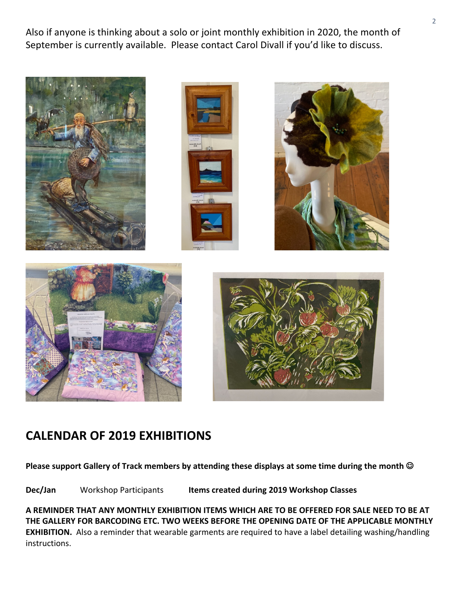Also if anyone is thinking about a solo or joint monthly exhibition in 2020, the month of September is currently available. Please contact Carol Divall if you'd like to discuss.



## **CALENDAR OF 2019 EXHIBITIONS**

**Please support Gallery of Track members by attending these displays at some time during the month**  $\odot$ 

**Dec/Jan** Workshop Participants **Items created during 2019 Workshop Classes**

**A REMINDER THAT ANY MONTHLY EXHIBITION ITEMS WHICH ARE TO BE OFFERED FOR SALE NEED TO BE AT THE GALLERY FOR BARCODING ETC. TWO WEEKS BEFORE THE OPENING DATE OF THE APPLICABLE MONTHLY EXHIBITION.** Also a reminder that wearable garments are required to have a label detailing washing/handling instructions.